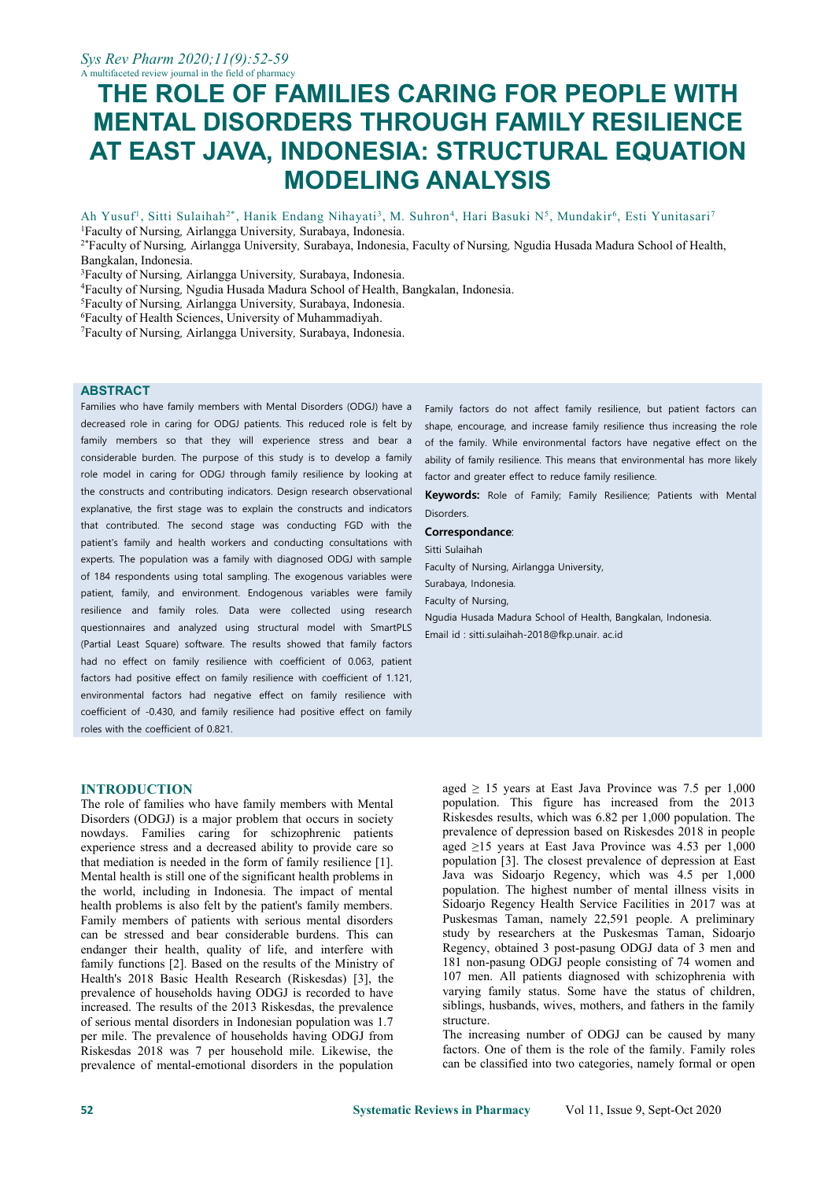# **THE ROLE OF FAMILIES CARING FOR PEOPLE WITH MENTAL DISORDERS THROUGH FAMILY RESILIENCE AT EAST JAVA, INDONESIA: STRUCTURAL EQUATION MODELING ANALYSIS**

Ah Yusuf<sup>1</sup>, Sitti Sulaihah<sup>2\*</sup>, Hanik Endang Nihayati<sup>3</sup>, M. Suhron<sup>4</sup>, Hari Basuki N<sup>5</sup>, Mundakir<sup>6</sup>, Esti Yunitasari<sup>7</sup>

<sup>1</sup>Faculty of Nursing*,*Airlangga University*,* Surabaya, Indonesia.

<sup>2\*</sup>Faculty of Nursing, Airlangga University, Surabaya, Indonesia, Faculty of Nursing, Ngudia Husada Madura School of Health, Bangkalan, Indonesia.

<sup>3</sup>Faculty of Nursing, Airlangga University, Surabaya, Indonesia.

<sup>4</sup>Faculty of Nursing, Ngudia Husada Madura School of Health, Bangkalan, Indonesia.

<sup>5</sup>Faculty of Nursing*,*Airlangga University*,* Surabaya, Indonesia.

<sup>6</sup>Faculty of Health Sciences, University of Muhammadiyah.

<sup>7</sup>Faculty of Nursing*,*Airlangga University*,* Surabaya, Indonesia.

#### **ABSTRACT**

Families who have family members with Mental Disorders (ODGJ) have a decreased role in caring for ODGJ patients. This reduced role is felt by family members so that they will experience stress and bear a considerable burden. The purpose of this study is to develop a family role model in caring for ODGJ through family resilience by looking at the constructs and contributing indicators. Design research observational explanative, the first stage was to explain the constructs and indicators that contributed. The second stage was conducting FGD with the patient's family and health workers and conducting consultations with experts. The population was a family with diagnosed ODGJ with sample of 184 respondents using total sampling. The exogenous variables were patient, family, and environment. Endogenous variables were family resilience and family roles. Data were collected using research questionnaires and analyzed using structural model with SmartPLS (Partial Least Square) software. The results showed that family factors had no effect on family resilience with coefficient of 0.063, patient factors had positive effect on family resilience with coefficient of 1.121, environmental factors had negative effect on family resilience with coefficient of -0.430, and family resilience had positive effect on family roles with the coefficient of 0.821.

#### **INTRODUCTION**

The role of families who have family members with Mental Disorders (ODGJ) is a major problem that occurs in society nowdays. Families caring for schizophrenic patients experience stress and a decreased ability to provide care so that mediation is needed in the form of family resilience [1]. Mental health is still one of the significant health problems in the world, including in Indonesia. The impact of mental health problems is also felt by the patient's family members. Family members of patients with serious mental disorders can be stressed and bear considerable burdens. This can endanger their health, quality of life, and interfere with family functions [2]. Based on the results of the Ministry of Health's 2018 Basic Health Research (Riskesdas) [3], the prevalence of households having ODGJ is recorded to have increased. The results of the 2013 Riskesdas, the prevalence of serious mental disorders in Indonesian population was 1.7 per mile. The prevalence of households having ODGJ from Riskesdas 2018 was 7 per household mile. Likewise, the prevalence of mental-emotional disorders in the population Family factors do not affect family resilience, but patient factors can shape, encourage, and increase family resilience thus increasing the role of the family. While environmental factors have negative effect on the ability of family resilience. This means that environmental has more likely factor and greater effect to reduce family resilience.

**Keywords:** Role of Family; Family Resilience; Patients with Mental **Disorders** 

#### **Correspondance**:

Sitti Sulaihah Faculty of Nursing, Airlangga University, Surabaya, Indonesia. Faculty of Nursing, Ngudia Husada Madura School of Health, Bangkalan, Indonesia. Email id : [sitti.sulaihah-2018@fkp.unair.](mailto:sitti.sulaihah-2018@fkp.unair.ac.id) ac.id

aged  $\geq$  15 years at East Java Province was 7.5 per 1,000 population. This figure has increased from the 2013 Riskesdes results, which was 6.82 per 1,000 population. The prevalence of depression based on Riskesdes 2018 in people aged ≥15 years at East Java Province was 4.53 per 1,000 population [3]. The closest prevalence of depression at East Java was Sidoarjo Regency, which was 4.5 per 1,000 population. The highest number of mental illness visits in Sidoarjo Regency Health Service Facilities in 2017 was at Puskesmas Taman, namely 22,591 people. A preliminary study by researchers at the Puskesmas Taman, Sidoarjo Regency, obtained 3 post-pasung ODGJ data of 3 men and 181 non-pasung ODGJ people consisting of 74 women and 107 men. All patients diagnosed with schizophrenia with varying family status. Some have the status of children, siblings, husbands, wives, mothers, and fathers in the family structure.

The increasing number of ODGJ can be caused by many factors. One of them is the role of the family. Family roles can be classified into two categories, namely formal or open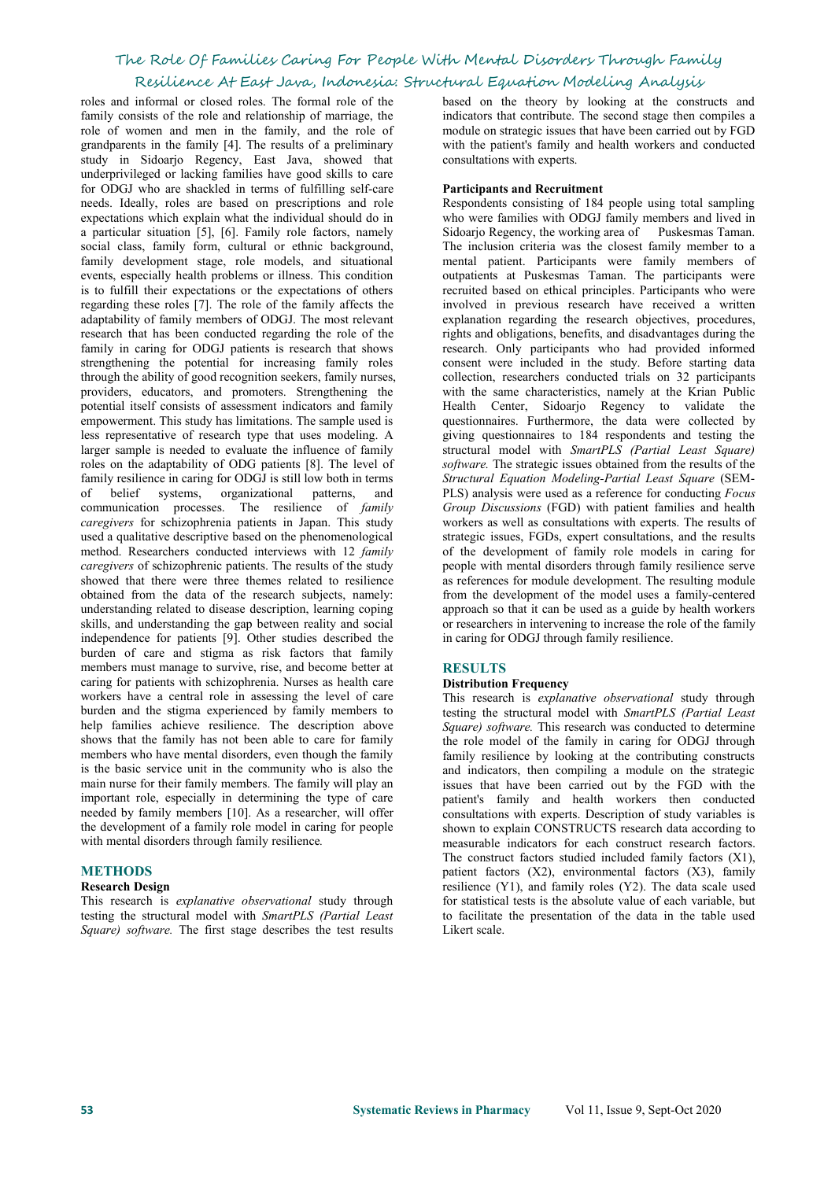roles and informal or closed roles. The formal role of the family consists of the role and relationship of marriage, the role of women and men in the family, and the role of grandparents in the family [4]. The results of a preliminary study in Sidoarjo Regency, East Java, showed that underprivileged or lacking families have good skills to care for ODGJ who are shackled in terms of fulfilling self-care needs. Ideally, roles are based on prescriptions and role expectations which explain what the individual should do in a particular situation [5], [6]. Family role factors, namely social class, family form, cultural or ethnic background, family development stage, role models, and situational events, especially health problems or illness. This condition is to fulfill their expectations or the expectations of others regarding these roles [7]. The role of the family affects the adaptability of family members of ODGJ. The most relevant research that has been conducted regarding the role of the family in caring for ODGJ patients is research that shows strengthening the potential for increasing family roles through the ability of good recognition seekers, family nurses, providers, educators, and promoters. Strengthening the potential itself consists of assessment indicators and family empowerment. This study has limitations. The sample used is less representative of research type that uses modeling. A larger sample is needed to evaluate the influence of family roles on the adaptability of ODG patients [8]. The level of family resilience in caring for ODGJ is still low both in terms of belief systems, organizational patterns, and communication processes. The resilience of*family caregivers* for schizophrenia patients in Japan. This study used a qualitative descriptive based on the phenomenological method. Researchers conducted interviews with 12 *family caregivers* of schizophrenic patients. The results of the study showed that there were three themes related to resilience obtained from the data of the research subjects, namely: understanding related to disease description, learning coping skills, and understanding the gap between reality and social independence for patients [9]. Other studies described the burden of care and stigma as risk factors that family members must manage to survive, rise, and become better at caring for patients with schizophrenia. Nurses as health care workers have a central role in assessing the level of care burden and the stigma experienced by family members to help families achieve resilience. The description above shows that the family has not been able to care for family members who have mental disorders, even though the family is the basic service unit in the community who is also the main nurse for their family members. The family will play an important role, especially in determining the type of care needed by family members [10]. As a researcher, will offer the development of a family role model in caring for people with mental disorders through family resilience*.*

### **METHODS**

### **Research Design**

This research is *explanative observational* study through testing the structural model with *SmartPLS (Partial Least Square) software.* The first stage describes the test results based on the theory by looking at the constructs and indicators that contribute. The second stage then compiles a module on strategic issues that have been carried out by FGD with the patient's family and health workers and conducted consultations with experts.

#### **Participants and Recruitment**

Respondents consisting of 184 people using total sampling who were families with ODGJ family members and lived in Sidoarjo Regency, the working area of Puskesmas Taman. The inclusion criteria was the closest family member to a mental patient. Participants were family members of outpatients at Puskesmas Taman. The participants were recruited based on ethical principles. Participants who were involved in previous research have received a written explanation regarding the research objectives, procedures, rights and obligations, benefits, and disadvantages during the research. Only participants who had provided informed consent were included in the study. Before starting data collection, researchers conducted trials on 32 participants with the same characteristics, namely at the Krian Public Health Center, Sidoarjo Regency to validate the questionnaires. Furthermore, the data were collected by giving questionnaires to 184 respondents and testing the structural model with *SmartPLS (Partial Least Square)* software. The strategic issues obtained from the results of the *Structural Equation Modeling-Partial Least Square* (SEM- PLS) analysis were used as a reference for conducting *Focus Group Discussions* (FGD) with patient families and health workers as well as consultations with experts. The results of strategic issues, FGDs, expert consultations, and the results of the development of family role models in caring for people with mental disorders through family resilience serve as references for module development. The resulting module from the development of the model uses a family-centered approach so that it can be used as a guide by health workers or researchers in intervening to increase the role of the family in caring for ODGJ through family resilience.

### **RESULTS**

#### **Distribution Frequency**

This research is *explanative observational* study through testing the structural model with *SmartPLS (Partial Least Square) software.* This research was conducted to determine the role model of the family in caring for ODGJ through family resilience by looking at the contributing constructs and indicators, then compiling a module on the strategic issues that have been carried out by the FGD with the patient's family and health workers then conducted consultations with experts. Description of study variables is shown to explain CONSTRUCTS research data according to measurable indicators for each construct research factors.<br>The construct factors studied included family factors (X1), patient factors  $(X2)$ , environmental factors  $(X3)$ , family resilience (Y1), and family roles (Y2). The data scale used for statistical tests is the absolute value of each variable, but to facilitate the presentation of the data in the table used Likert scale.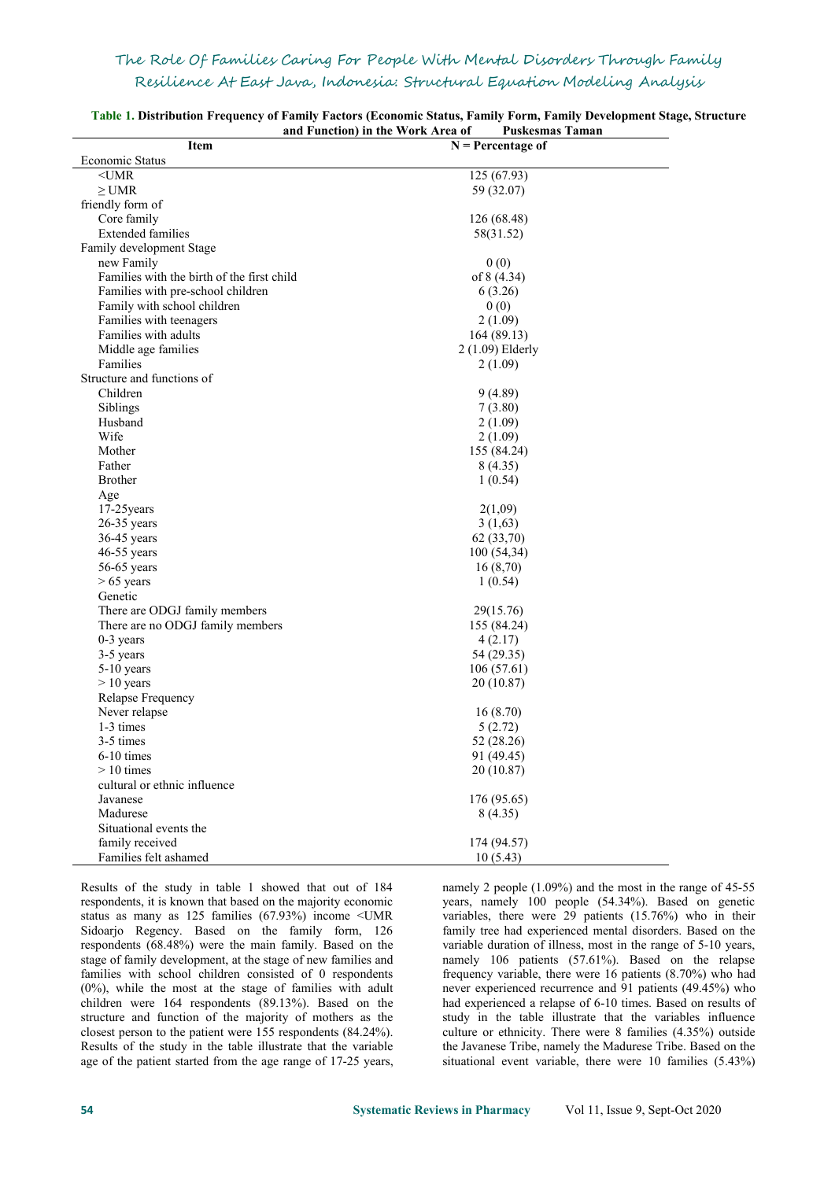| <b>Item</b>                                | anu function) in the work Area of<br>г изкезшая ташан<br>$N =$ Percentage of |  |
|--------------------------------------------|------------------------------------------------------------------------------|--|
| Economic Status                            |                                                                              |  |
| $<$ UMR                                    | 125 (67.93)                                                                  |  |
| $\geq$ UMR                                 | 59 (32.07)                                                                   |  |
| friendly form of                           |                                                                              |  |
| Core family                                | 126 (68.48)                                                                  |  |
| <b>Extended families</b>                   | 58(31.52)                                                                    |  |
| Family development Stage                   |                                                                              |  |
| new Family                                 | 0(0)                                                                         |  |
| Families with the birth of the first child | of 8 (4.34)                                                                  |  |
| Families with pre-school children          | 6(3.26)                                                                      |  |
| Family with school children                |                                                                              |  |
|                                            | 0(0)                                                                         |  |
| Families with teenagers                    | 2(1.09)                                                                      |  |
| Families with adults                       | 164 (89.13)                                                                  |  |
| Middle age families                        | 2 (1.09) Elderly                                                             |  |
| Families                                   | 2(1.09)                                                                      |  |
| Structure and functions of                 |                                                                              |  |
| Children                                   | 9(4.89)                                                                      |  |
| Siblings                                   | 7(3.80)                                                                      |  |
| Husband                                    | 2(1.09)                                                                      |  |
| Wife                                       | 2(1.09)                                                                      |  |
| Mother                                     | 155 (84.24)                                                                  |  |
| Father                                     | 8(4.35)                                                                      |  |
| <b>Brother</b>                             | 1(0.54)                                                                      |  |
| Age                                        |                                                                              |  |
| 17-25 years                                | 2(1,09)                                                                      |  |
| 26-35 years                                | 3(1,63)                                                                      |  |
| 36-45 years                                | 62 (33,70)                                                                   |  |
| 46-55 years                                | 100(54,34)                                                                   |  |
| $56-65$ years                              | 16(8,70)                                                                     |  |
| $> 65$ years                               | 1(0.54)                                                                      |  |
| Genetic                                    |                                                                              |  |
| There are ODGJ family members              | 29(15.76)                                                                    |  |
| There are no ODGJ family members           | 155 (84.24)                                                                  |  |
| 0-3 years                                  | 4(2.17)                                                                      |  |
| 3-5 years                                  | 54 (29.35)                                                                   |  |
| 5-10 years                                 | 106(57.61)                                                                   |  |
| $> 10$ years                               | 20 (10.87)                                                                   |  |
| Relapse Frequency                          |                                                                              |  |
| Never relapse                              | 16(8.70)                                                                     |  |
| 1-3 times                                  | 5(2.72)                                                                      |  |
| 3-5 times                                  | 52 (28.26)                                                                   |  |
| $6-10$ times                               | 91 (49.45)                                                                   |  |
| $> 10$ times                               | 20 (10.87)                                                                   |  |
| cultural or ethnic influence               |                                                                              |  |
| Javanese                                   | 176 (95.65)                                                                  |  |
| Madurese                                   | 8(4.35)                                                                      |  |
| Situational events the                     |                                                                              |  |
| family received                            |                                                                              |  |
|                                            | 174 (94.57)                                                                  |  |
| Families felt ashamed                      | 10(5.43)                                                                     |  |

**Table 1. Distribution Frequency of Family Factors (Economic Status, Family Form, Family Development Stage, Structure and Function) in the Work Area of Puskesmas Taman**

Results of the study in table 1 showed that out of 184 respondents, it is known that based on the majority economic status as many as 125 families (67.93%) income <UMR Sidoarjo Regency. Based on the family form, 126 respondents (68.48%) were the main family. Based on the stage of family development, at the stage of new families and families with school children consisted of 0 respondents (0%), while the most at the stage of families with adult children were 164 respondents (89.13%). Based on the structure and function of the majority of mothers as the closest person to the patient were 155 respondents (84.24%). Results of the study in the table illustrate that the variable age of the patient started from the age range of 17-25 years,

namely 2 people (1.09%) and the most in the range of 45-55 years, namely 100 people (54.34%). Based on genetic variables, there were 29 patients (15.76%) who in their family tree had experienced mental disorders. Based on the variable duration of illness, most in the range of 5-10 years, namely 106 patients (57.61%). Based on the relapse frequency variable, there were 16 patients (8.70%) who had never experienced recurrence and 91 patients (49.45%) who had experienced a relapse of 6-10 times. Based on results of study in the table illustrate that the variables influence culture or ethnicity. There were 8 families (4.35%) outside the Javanese Tribe, namely the Madurese Tribe. Based on the situational event variable, there were 10 families (5.43%)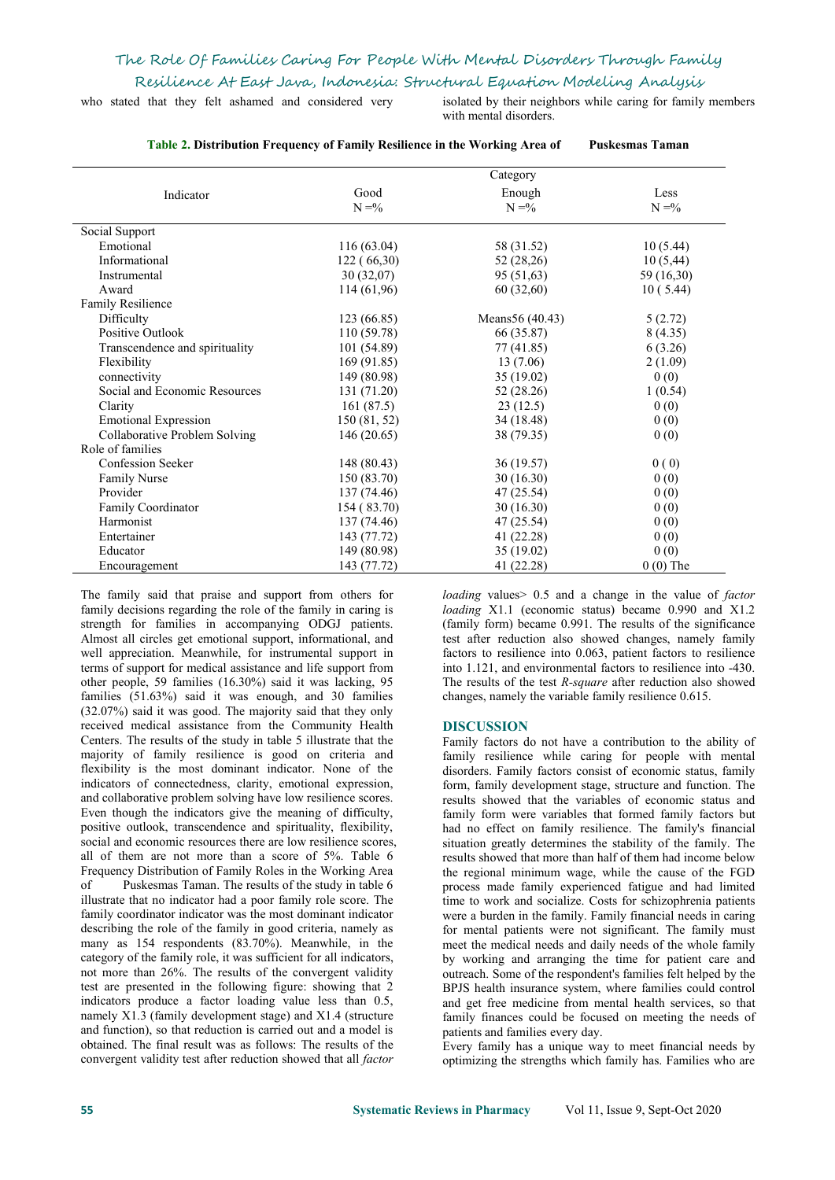who stated that they felt ashamed and considered very isolated by their neighbors while caring for family members

with mental disorders.

| Table 2. Distribution Frequency of Family Resilience in the Working Area of |                  | <b>Puskesmas Taman</b> |                  |
|-----------------------------------------------------------------------------|------------------|------------------------|------------------|
|                                                                             | Category         |                        |                  |
| Indicator                                                                   | Good<br>$N = \%$ | Enough<br>$N = \%$     | Less<br>$N = \%$ |
| Social Support                                                              |                  |                        |                  |
| Emotional                                                                   | 116(63.04)       | 58 (31.52)             | 10(5.44)         |
| Informational                                                               | 122(66,30)       | 52 (28,26)             | 10(5,44)         |
| Instrumental                                                                | 30(32,07)        | 95 (51,63)             | 59 (16,30)       |
| Award                                                                       | 114 (61,96)      | 60(32,60)              | 10(5.44)         |
| <b>Family Resilience</b>                                                    |                  |                        |                  |
| Difficulty                                                                  | 123 (66.85)      | Means 56 (40.43)       | 5(2.72)          |
| Positive Outlook                                                            | 110 (59.78)      | 66 (35.87)             | 8(4.35)          |
| Transcendence and spirituality                                              | 101 (54.89)      | 77 (41.85)             | 6(3.26)          |
| Flexibility                                                                 | 169 (91.85)      | 13(7.06)               | 2(1.09)          |
| connectivity                                                                | 149 (80.98)      | 35 (19.02)             | 0(0)             |
| Social and Economic Resources                                               | 131 (71.20)      | 52 (28.26)             | 1(0.54)          |
| Clarity                                                                     | 161(87.5)        | 23(12.5)               | 0(0)             |
| <b>Emotional Expression</b>                                                 | 150 (81, 52)     | 34 (18.48)             | 0(0)             |
| Collaborative Problem Solving                                               | 146 (20.65)      | 38 (79.35)             | 0(0)             |
| Role of families                                                            |                  |                        |                  |
| <b>Confession Seeker</b>                                                    | 148 (80.43)      | 36(19.57)              | 0(0)             |
| <b>Family Nurse</b>                                                         | 150 (83.70)      | 30(16.30)              | 0(0)             |
| Provider                                                                    | 137 (74.46)      | 47 (25.54)             | 0(0)             |
| Family Coordinator                                                          | 154 (83.70)      | 30(16.30)              | 0(0)             |
| Harmonist                                                                   | 137 (74.46)      | 47 (25.54)             | 0(0)             |
| Entertainer                                                                 | 143 (77.72)      | 41 (22.28)             | 0(0)             |
| Educator                                                                    | 149 (80.98)      | 35 (19.02)             | 0(0)             |
| Encouragement                                                               | 143 (77.72)      | 41 (22.28)             | $0(0)$ The       |

The family said that praise and support from others for family decisions regarding the role of the family in caring is strength for families in accompanying ODGJ patients. Almost all circles get emotional support, informational, and well appreciation. Meanwhile, for instrumental support in terms of support for medical assistance and life support from other people, 59 families (16.30%) said it was lacking, 95 families (51.63%) said it was enough, and 30 families (32.07%) said it was good. The majority said that they only received medical assistance from the Community Health Centers. The results of the study in table 5 illustrate that the majority of family resilience is good on criteria and flexibility is the most dominant indicator. None of the indicators of connectedness, clarity, emotional expression, and collaborative problem solving have low resilience scores. Even though the indicators give the meaning of difficulty, positive outlook, transcendence and spirituality, flexibility, social and economic resources there are low resilience scores, all of them are not more than a score of 5%. Table 6 Frequency Distribution of Family Roles in the Working Area of Puskesmas Taman. The results of the study in table 6 illustrate that no indicator had a poor family role score. The family coordinator indicator was the most dominant indicator describing the role of the family in good criteria, namely as many as 154 respondents (83.70%). Meanwhile, in the category of the family role, it was sufficient for all indicators, not more than 26%. The results of the convergent validity test are presented in the following figure: showing that 2 indicators produce a factor loading value less than 0.5, namely X1.3 (family development stage) and X1.4 (structure and function), so that reduction is carried out and a model is obtained. The final result was as follows: The results of the convergent validity test after reduction showed that all *factor*

*loading* values> 0.5 and a change in the value of *factor loading* X1.1 (economic status) became 0.990 and X1.2 (family form) became 0.991. The results of the significance test after reduction also showed changes, namely family factors to resilience into 0.063, patient factors to resilience into 1.121, and environmental factors to resilience into -430. The results of the test *R-square* after reduction also showed changes, namely the variable family resilience 0.615.

### **DISCUSSION**

Family factors do not have a contribution to the ability of family resilience while caring for people with mental disorders. Family factors consist of economic status, family form, family development stage, structure and function. The results showed that the variables of economic status and family form were variables that formed family factors but had no effect on family resilience. The family's financial situation greatly determines the stability of the family. The results showed that more than half of them had income below the regional minimum wage, while the cause of the FGD process made family experienced fatigue and had limited time to work and socialize. Costs for schizophrenia patients were a burden in the family. Family financial needs in caring for mental patients were not significant. The family must meet the medical needs and daily needs of the whole family by working and arranging the time for patient care and outreach. Some of the respondent's families felt helped by the BPJS health insurance system, where families could control and get free medicine from mental health services, so that family finances could be focused on meeting the needs of patients and families every day.

Every family has a unique way to meet financial needs by optimizing the strengths which family has. Families who are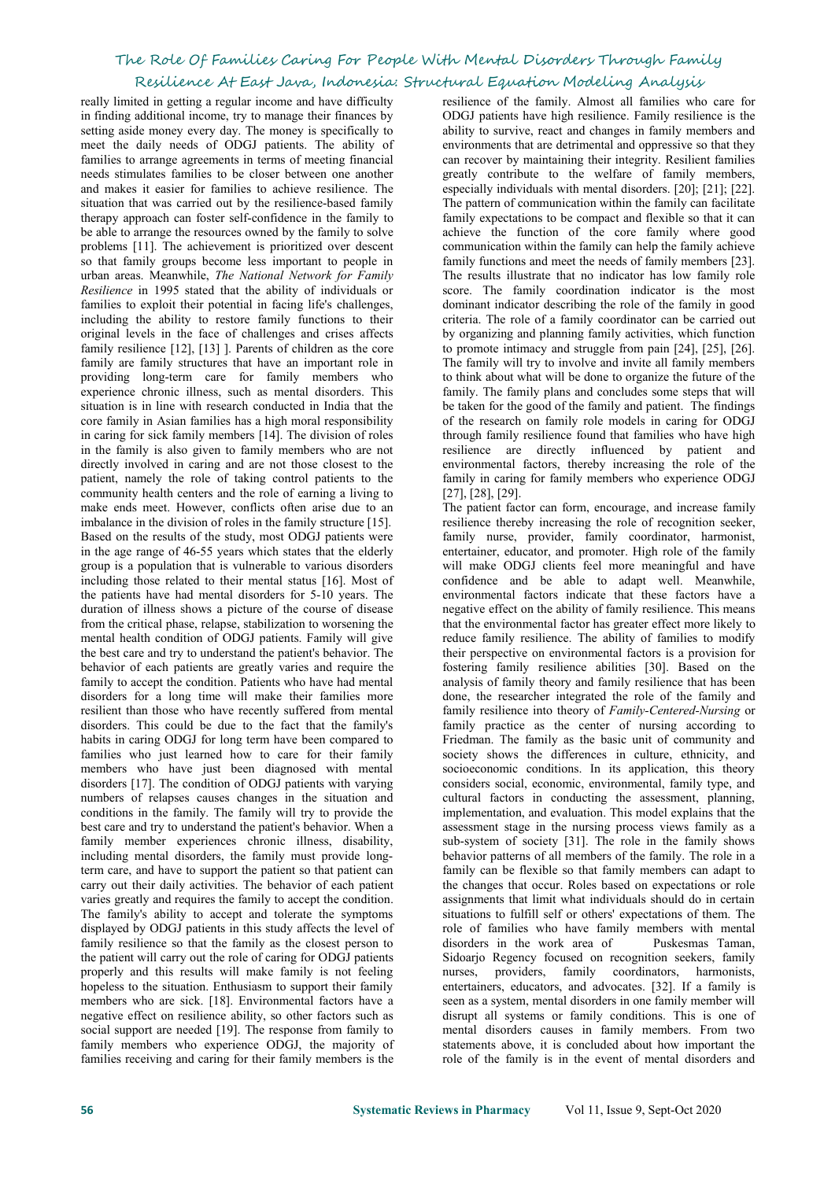really limited in getting a regular income and have difficulty in finding additional income, try to manage their finances by setting aside money every day. The money is specifically to meet the daily needs of ODGJ patients. The ability of families to arrange agreements in terms of meeting financial needs stimulates families to be closer between one another and makes it easier for families to achieve resilience. The situation that was carried out by the resilience-based family therapy approach can foster self-confidence in the family to be able to arrange the resources owned by the family to solve problems [11]. The achievement is prioritized over descent so that family groups become less important to people in urban areas. Meanwhile, *The National Network for Family Resilience* in 1995 stated that the ability of individuals or families to exploit their potential in facing life's challenges, including the ability to restore family functions to their original levels in the face of challenges and crises affects family resilience [12], [13] ]. Parents of children as the core family are family structures that have an important role in providing long-term care for family members who experience chronic illness, such as mental disorders. This situation is in line with research conducted in India that the core family in Asian families has a high moral responsibility in caring for sick family members [14]. The division of roles in the family is also given to family members who are not directly involved in caring and are not those closest to the patient, namely the role of taking control patients to the community health centers and the role of earning a living to make ends meet. However, conflicts often arise due to an imbalance in the division of roles in the family structure [15]. Based on the results of the study, most ODGJ patients were in the age range of 46-55 years which states that the elderly group is a population that is vulnerable to various disorders including those related to their mental status [16]. Most of the patients have had mental disorders for 5-10 years. The duration of illness shows a picture of the course of disease from the critical phase, relapse, stabilization to worsening the mental health condition of ODGJ patients. Family will give the best care and try to understand the patient's behavior. The behavior of each patients are greatly varies and require the family to accept the condition. Patients who have had mental disorders for a long time will make their families more resilient than those who have recently suffered from mental disorders. This could be due to the fact that the family's habits in caring ODGJ for long term have been compared to families who just learned how to care for their family members who have just been diagnosed with mental disorders [17]. The condition of ODGJ patients with varying numbers of relapses causes changes in the situation and conditions in the family. The family will try to provide the best care and try to understand the patient's behavior. When a family member experiences chronic illness, disability, including mental disorders, the family must provide longterm care, and have to support the patient so that patient can carry out their daily activities. The behavior of each patient varies greatly and requires the family to accept the condition. The family's ability to accept and tolerate the symptoms displayed by ODGJ patients in this study affects the level of family resilience so that the family as the closest person to the patient will carry out the role of caring for ODGJ patients properly and this results will make family is not feeling hopeless to the situation. Enthusiasm to support their family members who are sick. [18]. Environmental factors have a negative effect on resilience ability, so other factors such as social support are needed [19]. The response from family to family members who experience ODGJ, the majority of families receiving and caring for their family members is the

resilience of the family. Almost all families who care for ODGJ patients have high resilience. Family resilience is the ability to survive, react and changes in family members and environments that are detrimental and oppressive so that they can recover by maintaining their integrity. Resilient families greatly contribute to the welfare of family members, especially individuals with mental disorders. [20]; [21]; [22]. The pattern of communication within the family can facilitate family expectations to be compact and flexible so that it can achieve the function of the core family where good communication within the family can help the family achieve family functions and meet the needs of family members [23]. The results illustrate that no indicator has low family role score. The family coordination indicator is the most dominant indicator describing the role of the family in good criteria. The role of a family coordinator can be carried out by organizing and planning family activities, which function to promote intimacy and struggle from pain [24], [25], [26]. The family will try to involve and invite all family members to think about what will be done to organize the future of the family. The family plans and concludes some steps that will be taken for the good of the family and patient. The findings of the research on family role models in caring for ODGJ through family resilience found that families who have high resilience are directly influenced by patient and environmental factors, thereby increasing the role of the family in caring for family members who experience ODGJ [27], [28], [29].

The patient factor can form, encourage, and increase family resilience thereby increasing the role of recognition seeker, family nurse, provider, family coordinator, harmonist, entertainer, educator, and promoter. High role of the family will make ODGJ clients feel more meaningful and have confidence and be able to adapt well. Meanwhile, environmental factors indicate that these factors have a negative effect on the ability of family resilience. This means that the environmental factor has greater effect more likely to reduce family resilience. The ability of families to modify their perspective on environmental factors is a provision for fostering family resilience abilities [30]. Based on the analysis of family theory and family resilience that has been done, the researcher integrated the role of the family and family resilience into theory of *Family-Centered-Nursing* or family practice as the center of nursing according to Friedman. The family as the basic unit of community and society shows the differences in culture, ethnicity, and socioeconomic conditions. In its application, this theory considers social, economic, environmental, family type, and cultural factors in conducting the assessment, planning, implementation, and evaluation.This model explains that the assessment stage in the nursing process views family as a sub-system of society [31]. The role in the family shows behavior patterns of all members of the family. The role in a family can be flexible so that family members can adapt to the changes that occur. Roles based on expectations or role assignments that limit what individuals should do in certain situations to fulfill self or others' expectations of them. The role of families who have family members with mental disorders in the work area of Puskesmas Taman, Sidoarjo Regency focused on recognition seekers, family nurses, providers, family coordinators, harmonists, entertainers, educators, and advocates. [32]. If a family is seen as a system, mental disorders in one family member will disrupt all systems or family conditions. This is one of mental disorders causes in family members. From two statements above, it is concluded about how important the role of the family is in the event of mental disorders and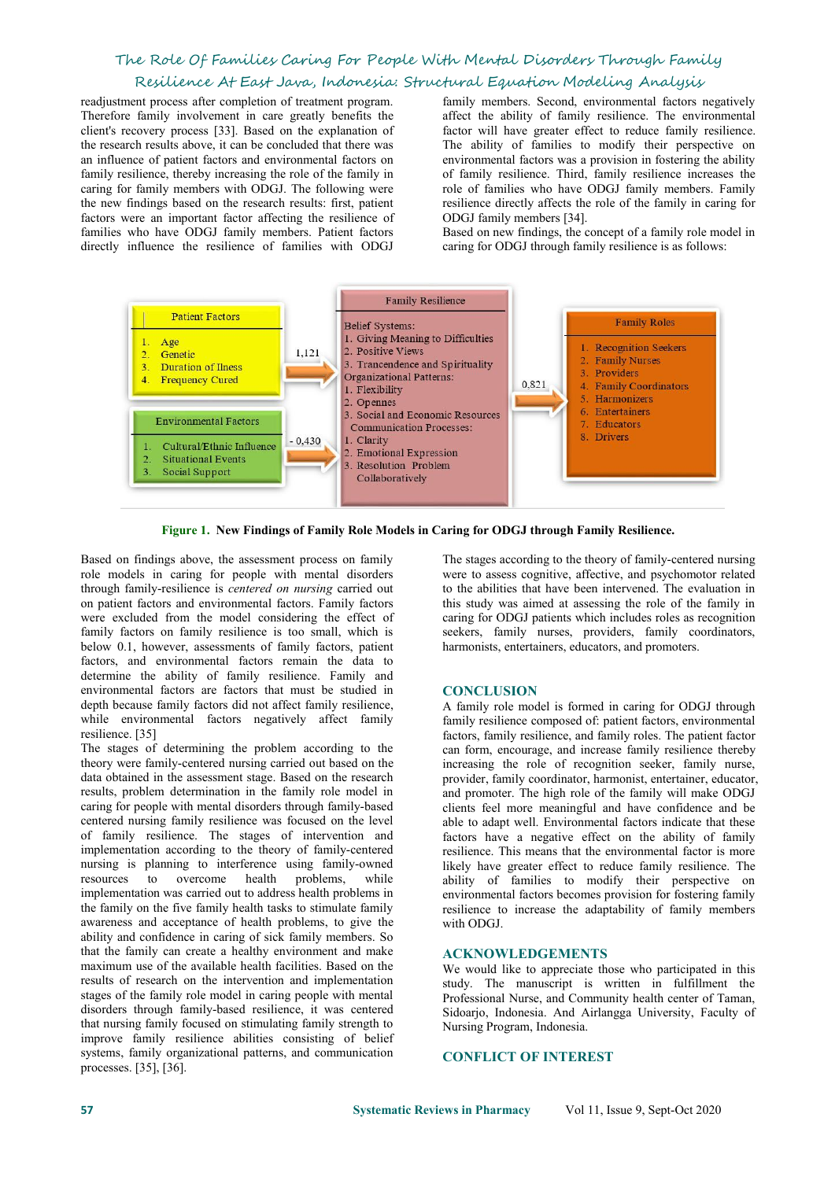readjustment process after completion of treatment program. Therefore family involvement in care greatly benefits the client's recovery process [33]. Based on the explanation of the research results above, it can be concluded that there was an influence of patient factors and environmental factors on family resilience, thereby increasing the role of the family in caring for family members with ODGJ. The following were the new findings based on the research results: first, patient factors were an important factor affecting the resilience of families who have ODGJ family members. Patient factors directly influence the resilience of families with ODGJ

family members. Second, environmental factors negatively affect the ability of family resilience. The environmental factor will have greater effect to reduce family resilience. The ability of families to modify their perspective on environmental factors was a provision in fostering the ability of family resilience. Third, family resilience increases the role of families who have ODGJ family members. Family resilience directly affects the role of the family in caring for ODGJ family members [34].

Based on new findings, the concept of a family role model in caring for ODGJ through family resilience is as follows:



**Figure 1. New Findings of Family Role Models in Caring for ODGJ through Family Resilience.**

Based on findings above, the assessment process on family role models in caring for people with mental disorders through family-resilience is*centered on nursing* carried out on patient factors and environmental factors. Family factors were excluded from the model considering the effect of family factors on family resilience is too small, which is below 0.1, however, assessments of family factors, patient factors, and environmental factors remain the data to determine the ability of family resilience. Family and environmental factors are factors that must be studied in depth because family factors did not affect family resilience, while environmental factors negatively affect family resilience. [35]

The stages of determining the problem according to the theory were family-centered nursing carried out based on the data obtained in the assessment stage. Based on the research results, problem determination in the family role model in caring for people with mental disorders through family-based centered nursing family resilience was focused on the level of family resilience. The stages of intervention and implementation according to the theory of family-centered nursing is planning to interference using family-owned resources to overcome health problems, while implementation was carried out to address health problems in the family on the five family health tasks to stimulate family awareness and acceptance of health problems, to give the ability and confidence in caring of sick family members. So that the family can create a healthy environment and make maximum use of the available health facilities. Based on the results of research on the intervention and implementation stages of the family role model in caring people with mental disorders through family-based resilience, it was centered that nursing family focused on stimulating family strength to improve family resilience abilities consisting of belief systems, family organizational patterns, and communication processes. [35], [36].

The stages according to the theory of family-centered nursing were to assess cognitive, affective, and psychomotor related to the abilities that have been intervened. The evaluation in this study was aimed at assessing the role of the family in caring for ODGJ patients which includes roles as recognition seekers, family nurses, providers, family coordinators, harmonists, entertainers, educators, and promoters.

### **CONCLUSION**

A family role model is formed in caring for ODGJ through family resilience composed of: patient factors, environmental factors, family resilience, and family roles. The patient factor can form, encourage, and increase family resilience thereby increasing the role of recognition seeker, family nurse, provider, family coordinator, harmonist, entertainer, educator, and promoter. The high role of the family will make ODGJ clients feel more meaningful and have confidence and be able to adapt well. Environmental factors indicate that these factors have a negative effect on the ability of family resilience. This means that the environmental factor is more likely have greater effect to reduce family resilience. The ability of families to modify their perspective on environmental factors becomes provision for fostering family resilience to increase the adaptability of family members with ODGJ.

### **ACKNOWLEDGEMENTS**

We would like to appreciate those who participated in this study. The manuscript is written in fulfillment the Professional Nurse, and Community health center of Taman, Sidoarjo, Indonesia. And Airlangga University, Faculty of Nursing Program, Indonesia.

### **CONFLICT OF INTEREST**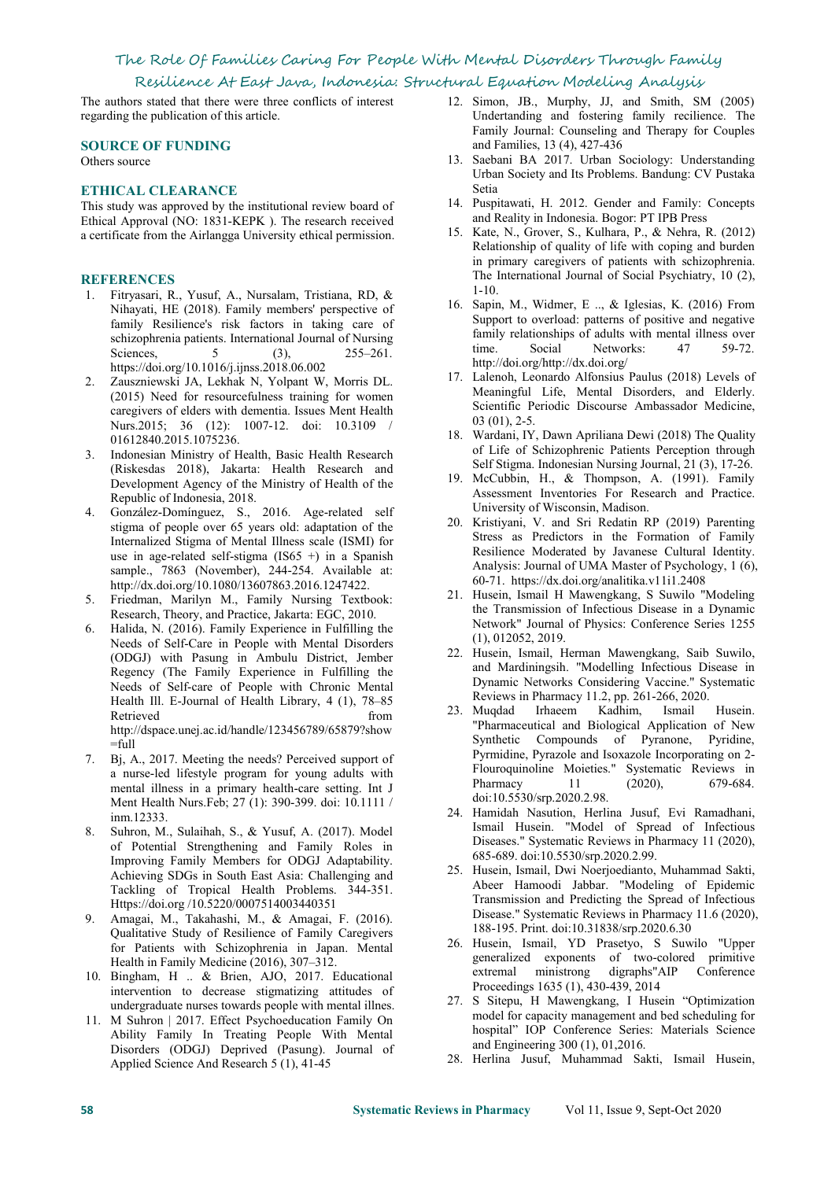# The Role Of Families Caring For People With Mental Disorders Through Family

### Resilience At East Java, Indonesia: Structural Equation Modeling Analysis

The authors stated that there were three conflicts of interest regarding the publication of this article.

#### **SOURCE OF FUNDING**

Others source

### **ETHICAL CLEARANCE**

This study was approved by the institutional review board of 14. Puspitawati, H. 2012. Gender and Family: Ithical Approval (NO: 1831-KEPK) The research received and Reality in Indonesia. Bogor: PT IPB Press Ethical Approval (NO: 1831-KEPK ). The research received a certificate from the Airlangga University ethical permission.

### **REFERENCES**

- 1. Fitryasari, R., Yusuf, A., Nursalam, Tristiana, RD, & Nihayati, HE (2018). Family members' perspective of family Resilience's risk factors in taking care of schizophrenia patients. International Journal of Nursing tamul<br>Sciences (2) 255, 261 time. Sciences, 5 (3), 255–261. https://doi.org/10.1016/j.ijnss.2018.06.002
- 2. Zauszniewski JA, Lekhak N, Yolpant W, Morris DL. (2015) Need for resourcefulness training for women caregivers of elders with dementia. Issues Ment [Health](https://www.ncbi.nlm.nih.gov/pubmed/26735507) Nurs.2015; 36 (12): 1007-12. doi: 10.3109 / 01612840.2015.1075236.
- 3. Indonesian Ministry of Health, Basic Health Research (Riskesdas 2018), Jakarta: Health Research and Development Agency of the Ministry of Health of the Republic of Indonesia, 2018.
- 4. González-Domínguez, S., 2016. Age-related self stigma of people over 65 years old: adaptation of the Internalized Stigma of Mental Illness scale (ISMI) for use in age-related self-stigma (IS65 +) in a Spanish sample., 7863 (November), 244-254. Available at: http://dx.doi.org/10.1080/13607863.2016.1247422.
- 5. Friedman, Marilyn M., Family Nursing Textbook: Research, Theory, and Practice, Jakarta: EGC, 2010.
- 6. Halida, N. (2016). Family Experience in Fulfilling the Needs of Self-Care in People with Mental Disorders (ODGJ) with Pasung in Ambulu District, Jember Regency (The Family Experience in Fulfilling the Needs of Self-care of People with Chronic Mental Health Ill. E-Journal of Health Library, 4 (1), 78–85 Retrieved from 23. Muquad Irrae m [http://dspace.unej.ac.id/handle/123456789/65879?show](http://dspace.unej.ac.id/handle/123456789/65879?show=full)  $=$ full
- 7. Bj, A., 2017. Meeting the needs? Perceived support of a nurse-led lifestyle program for young adults with mental illness in a primary health-care setting. [Int](https://www.ncbi.nlm.nih.gov/pubmed/28374967) J Ment Health Nurs.Feb; 27 (1): 390-399. doi: 10.1111 / inm.12333.
- 8. Suhron, M., Sulaihah, S., & Yusuf, A. (2017). Model of Potential Strengthening and Family Roles in Improving Family Members for ODGJ Adaptability. Achieving SDGs in South East Asia: Challenging and Tackling of Tropical Health Problems. 344-351. Https://doi.org /10.5220/0007514003440351
- 9. Amagai, M., Takahashi, M., & Amagai, F. (2016). Qualitative Study of Resilience of Family Caregivers for Patients with Schizophrenia in Japan. Mental Health in Family Medicine (2016), 307–312.
- 10. Bingham, H .. & Brien, AJO, 2017. Educational intervention to decrease stigmatizing attitudes of undergraduate nurses towards people with mental illnes.
- 11. M Suhron | 2017. Effect Psychoeducation Family On Ability Family In Treating People With Mental Disorders (ODGJ) Deprived (Pasung). Journal of Applied Science And Research 5 (1), 41-45
- 12. Simon, JB., Murphy, JJ, and Smith, SM (2005) Undertanding and fostering family recilience. The Family Journal: Counseling and Therapy for Couples and Families, 13 (4), 427-436
- 13. Saebani BA 2017. Urban Sociology: Understanding Urban Society and Its Problems. Bandung: CV Pustaka Setia
- 14. Puspitawati, H. 2012. Gender and Family: Concepts
- 15. Kate, N., Grover, S., Kulhara, P., & Nehra, R. (2012) Relationship of quality of life with coping and burden in primary caregivers of patients with schizophrenia. The International Journal of Social Psychiatry, 10 (2), 1-10.
- 16. Sapin, M., Widmer, E .., & Iglesias, K. (2016) From Support to overload: patterns of positive and negative family relationships of adults with mental illness over<br>time Social Networks: 47 59-72 Social Networks: http://doi.org/http://dx.doi.org/
- 17. Lalenoh, Leonardo Alfonsius Paulus (2018) Levels of Meaningful Life, Mental Disorders, and Elderly. Scientific Periodic Discourse Ambassador Medicine, 03 (01), 2-5.
- 18. Wardani, IY, Dawn Apriliana Dewi (2018) The Quality of Life of Schizophrenic Patients Perception through Self Stigma. Indonesian Nursing Journal, 21 (3), 17-26.
- 19. McCubbin, H., & Thompson, A. (1991). Family Assessment Inventories For Research and Practice. University of Wisconsin, Madison.
- 20. Kristiyani, V. and Sri Redatin RP (2019) Parenting Stress as Predictors in the Formation of Family Resilience Moderated by Javanese Cultural Identity. Analysis: Journal of UMA Master of Psychology, 1 (6), 60-71. <https://dx.doi.org/analitika.v11i1.2408>
- 21. Husein, Ismail H Mawengkang, S Suwilo "Modeling the Transmission of Infectious Disease in a Dynamic Network" Journal of Physics: Conference Series 1255 (1), 012052, 2019.
- 22. Husein, Ismail, Herman Mawengkang, Saib Suwilo, and Mardiningsih. "Modelling Infectious Disease in Dynamic Networks Considering Vaccine." Systematic Reviews in Pharmacy 11.2, pp. 261-266, 2020.
- 23. Muqdad Irhaeem Kadhim, Ismail Husein. "Pharmaceutical and Biological Application of New Synthetic Compounds of Pyranone, Pyridine, Pyrmidine, Pyrazole and Isoxazole Incorporating on 2- Flouroquinoline Moieties." Systematic Reviews in Pharmacy 11 (2020), 679-684. doi:10.5530/srp.2020.2.98.
- 24. Hamidah Nasution, Herlina Jusuf, Evi Ramadhani, Ismail Husein. "Model of Spread of Infectious Diseases." Systematic Reviews in Pharmacy 11 (2020), 685-689. doi:10.5530/srp.2020.2.99.
- 25. Husein, Ismail, Dwi Noerjoedianto, Muhammad Sakti, Abeer Hamoodi Jabbar. "Modeling of Epidemic Transmission and Predicting the Spread of Infectious Disease." Systematic Reviews in Pharmacy 11.6 (2020), 188-195. Print. doi:10.31838/srp.2020.6.30
- 26. Husein, Ismail, YD Prasetyo, S Suwilo "Upper generalized exponents of two-colored primitive<br>extremal ministrong digraphs"AIP Conference extremal ministrong digraphs"AIP Proceedings 1635 (1), 430-439, 2014
- 27. S Sitepu, H Mawengkang, I Husein "Optimization model for capacity management and bed scheduling for hospital" IOP Conference Series: Materials Science and Engineering 300 (1), 01,2016.
- 28. Herlina Jusuf, Muhammad Sakti, Ismail Husein,